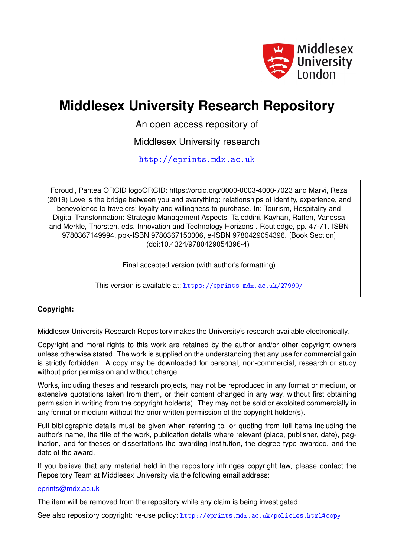

# **Middlesex University Research Repository**

An open access repository of

Middlesex University research

<http://eprints.mdx.ac.uk>

Foroudi, Pantea ORCID logoORCID: https://orcid.org/0000-0003-4000-7023 and Marvi, Reza (2019) Love is the bridge between you and everything: relationships of identity, experience, and benevolence to travelers' loyalty and willingness to purchase. In: Tourism, Hospitality and Digital Transformation: Strategic Management Aspects. Tajeddini, Kayhan, Ratten, Vanessa and Merkle, Thorsten, eds. Innovation and Technology Horizons . Routledge, pp. 47-71. ISBN 9780367149994, pbk-ISBN 9780367150006, e-ISBN 9780429054396. [Book Section] (doi:10.4324/9780429054396-4)

Final accepted version (with author's formatting)

This version is available at: <https://eprints.mdx.ac.uk/27990/>

# **Copyright:**

Middlesex University Research Repository makes the University's research available electronically.

Copyright and moral rights to this work are retained by the author and/or other copyright owners unless otherwise stated. The work is supplied on the understanding that any use for commercial gain is strictly forbidden. A copy may be downloaded for personal, non-commercial, research or study without prior permission and without charge.

Works, including theses and research projects, may not be reproduced in any format or medium, or extensive quotations taken from them, or their content changed in any way, without first obtaining permission in writing from the copyright holder(s). They may not be sold or exploited commercially in any format or medium without the prior written permission of the copyright holder(s).

Full bibliographic details must be given when referring to, or quoting from full items including the author's name, the title of the work, publication details where relevant (place, publisher, date), pagination, and for theses or dissertations the awarding institution, the degree type awarded, and the date of the award.

If you believe that any material held in the repository infringes copyright law, please contact the Repository Team at Middlesex University via the following email address:

#### [eprints@mdx.ac.uk](mailto:eprints@mdx.ac.uk)

The item will be removed from the repository while any claim is being investigated.

See also repository copyright: re-use policy: <http://eprints.mdx.ac.uk/policies.html#copy>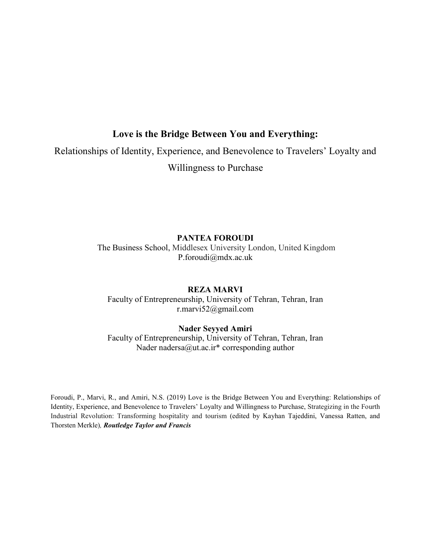# **Love is the Bridge Between You and Everything:**

Relationships of Identity, Experience, and Benevolence to Travelers' Loyalty and

Willingness to Purchase

# **PANTEA FOROUDI**

The Business School, Middlesex University London, United Kingdom P.foroudi@mdx.ac.uk

# **REZA MARVI**

Faculty of Entrepreneurship, University of Tehran, Tehran, Iran r.marvi52@gmail.com

## **Nader Seyyed Amiri**

Faculty of Entrepreneurship, University of Tehran, Tehran, Iran Nader nadersa@ut.ac.ir\* corresponding author

Foroudi, P., Marvi, R., and Amiri, N.S. (2019) Love is the Bridge Between You and Everything: Relationships of Identity, Experience, and Benevolence to Travelers' Loyalty and Willingness to Purchase, Strategizing in the Fourth Industrial Revolution: Transforming hospitality and tourism (edited by Kayhan Tajeddini, Vanessa Ratten, and Thorsten Merkle)*, Routledge Taylor and Francis*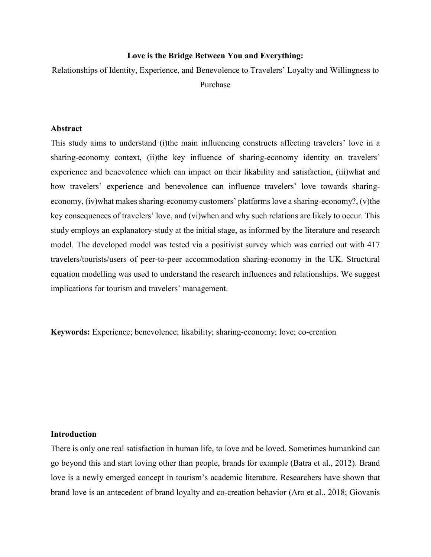#### **Love is the Bridge Between You and Everything:**

Relationships of Identity, Experience, and Benevolence to Travelers' Loyalty and Willingness to

Purchase

#### **Abstract**

This study aims to understand (i)the main influencing constructs affecting travelers' love in a sharing-economy context, (ii)the key influence of sharing-economy identity on travelers' experience and benevolence which can impact on their likability and satisfaction, (iii)what and how travelers' experience and benevolence can influence travelers' love towards sharingeconomy, (iv)what makes sharing-economy customers' platforms love a sharing-economy?, (v)the key consequences of travelers' love, and (vi)when and why such relations are likely to occur. This study employs an explanatory-study at the initial stage, as informed by the literature and research model. The developed model was tested via a positivist survey which was carried out with 417 travelers/tourists/users of peer-to-peer accommodation sharing-economy in the UK. Structural equation modelling was used to understand the research influences and relationships. We suggest implications for tourism and travelers' management.

**Keywords:** Experience; benevolence; likability; sharing-economy; love; co-creation

## **Introduction**

There is only one real satisfaction in human life, to love and be loved. Sometimes humankind can go beyond this and start loving other than people, brands for example (Batra et al., 2012). Brand love is a newly emerged concept in tourism's academic literature. Researchers have shown that brand love is an antecedent of brand loyalty and co-creation behavior (Aro et al., 2018; Giovanis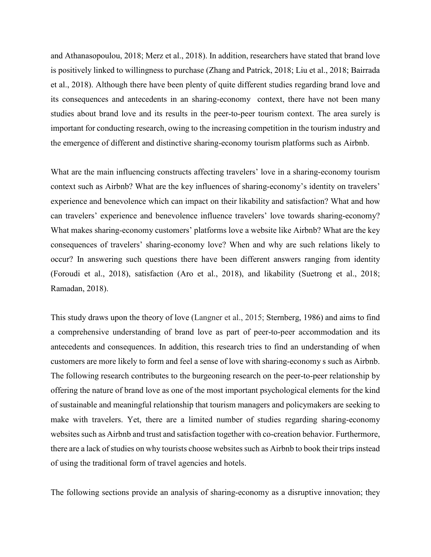and Athanasopoulou, 2018; Merz et al., 2018). In addition, researchers have stated that brand love is positively linked to willingness to purchase (Zhang and Patrick, 2018; Liu et al., 2018; Bairrada et al., 2018). Although there have been plenty of quite different studies regarding brand love and its consequences and antecedents in an sharing-economy context, there have not been many studies about brand love and its results in the peer-to-peer tourism context. The area surely is important for conducting research, owing to the increasing competition in the tourism industry and the emergence of different and distinctive sharing-economy tourism platforms such as Airbnb.

What are the main influencing constructs affecting travelers' love in a sharing-economy tourism context such as Airbnb? What are the key influences of sharing-economy's identity on travelers' experience and benevolence which can impact on their likability and satisfaction? What and how can travelers' experience and benevolence influence travelers' love towards sharing-economy? What makes sharing-economy customers' platforms love a website like Airbnb? What are the key consequences of travelers' sharing-economy love? When and why are such relations likely to occur? In answering such questions there have been different answers ranging from identity (Foroudi et al., 2018), satisfaction (Aro et al., 2018), and likability (Suetrong et al., 2018; Ramadan, 2018).

This study draws upon the theory of love (Langner et al., 2015; Sternberg, 1986) and aims to find a comprehensive understanding of brand love as part of peer-to-peer accommodation and its antecedents and consequences. In addition, this research tries to find an understanding of when customers are more likely to form and feel a sense of love with sharing-economy s such as Airbnb. The following research contributes to the burgeoning research on the peer-to-peer relationship by offering the nature of brand love as one of the most important psychological elements for the kind of sustainable and meaningful relationship that tourism managers and policymakers are seeking to make with travelers. Yet, there are a limited number of studies regarding sharing-economy websites such as Airbnb and trust and satisfaction together with co-creation behavior. Furthermore, there are a lack of studies on why tourists choose websites such as Airbnb to book their trips instead of using the traditional form of travel agencies and hotels.

The following sections provide an analysis of sharing-economy as a disruptive innovation; they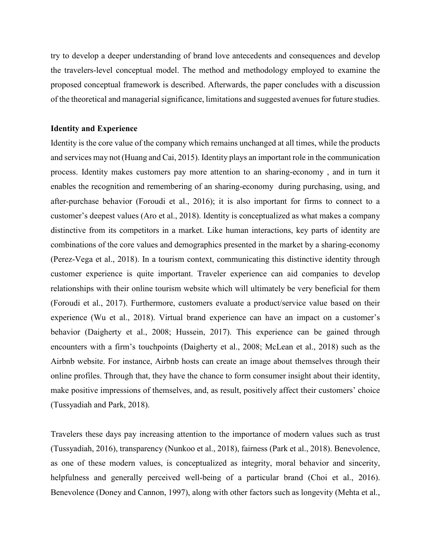try to develop a deeper understanding of brand love antecedents and consequences and develop the travelers-level conceptual model. The method and methodology employed to examine the proposed conceptual framework is described. Afterwards, the paper concludes with a discussion of the theoretical and managerial significance, limitations and suggested avenues for future studies.

#### **Identity and Experience**

Identity is the core value of the company which remains unchanged at all times, while the products and services may not (Huang and Cai, 2015). Identity plays an important role in the communication process. Identity makes customers pay more attention to an sharing-economy , and in turn it enables the recognition and remembering of an sharing-economy during purchasing, using, and after-purchase behavior (Foroudi et al., 2016); it is also important for firms to connect to a customer's deepest values (Aro et al., 2018). Identity is conceptualized as what makes a company distinctive from its competitors in a market. Like human interactions, key parts of identity are combinations of the core values and demographics presented in the market by a sharing-economy (Perez-Vega et al., 2018). In a tourism context, communicating this distinctive identity through customer experience is quite important. Traveler experience can aid companies to develop relationships with their online tourism website which will ultimately be very beneficial for them (Foroudi et al., 2017). Furthermore, customers evaluate a product/service value based on their experience (Wu et al., 2018). Virtual brand experience can have an impact on a customer's behavior (Daigherty et al., 2008; Hussein, 2017). This experience can be gained through encounters with a firm's touchpoints (Daigherty et al., 2008; McLean et al., 2018) such as the Airbnb website. For instance, Airbnb hosts can create an image about themselves through their online profiles. Through that, they have the chance to form consumer insight about their identity, make positive impressions of themselves, and, as result, positively affect their customers' choice (Tussyadiah and Park, 2018).

Travelers these days pay increasing attention to the importance of modern values such as trust (Tussyadiah, 2016), transparency (Nunkoo et al., 2018), fairness (Park et al., 2018). Benevolence, as one of these modern values, is conceptualized as integrity, moral behavior and sincerity, helpfulness and generally perceived well-being of a particular brand (Choi et al., 2016). Benevolence (Doney and Cannon, 1997), along with other factors such as longevity (Mehta et al.,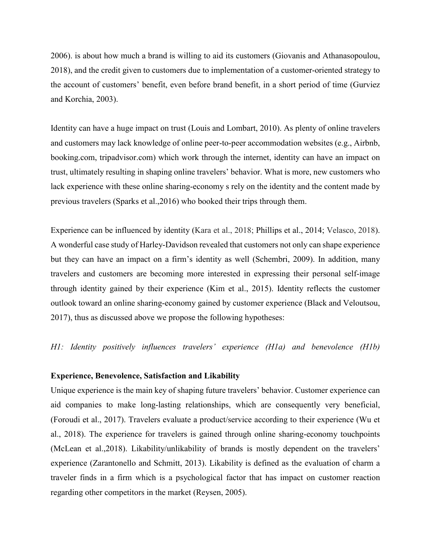2006). is about how much a brand is willing to aid its customers (Giovanis and Athanasopoulou, 2018), and the credit given to customers due to implementation of a customer-oriented strategy to the account of customers' benefit, even before brand benefit, in a short period of time (Gurviez and Korchia, 2003).

Identity can have a huge impact on trust (Louis and Lombart, 2010). As plenty of online travelers and customers may lack knowledge of online peer-to-peer accommodation websites (e.g., Airbnb, booking.com, tripadvisor.com) which work through the internet, identity can have an impact on trust, ultimately resulting in shaping online travelers' behavior. What is more, new customers who lack experience with these online sharing-economy s rely on the identity and the content made by previous travelers (Sparks et al.,2016) who booked their trips through them.

Experience can be influenced by identity (Kara et al., 2018; Phillips et al., 2014; Velasco, 2018). A wonderful case study of Harley-Davidson revealed that customers not only can shape experience but they can have an impact on a firm's identity as well (Schembri, 2009). In addition, many travelers and customers are becoming more interested in expressing their personal self-image through identity gained by their experience (Kim et al., 2015). Identity reflects the customer outlook toward an online sharing-economy gained by customer experience (Black and Veloutsou, 2017), thus as discussed above we propose the following hypotheses:

*H1: Identity positively influences travelers' experience (H1a) and benevolence (H1b)* 

#### **Experience, Benevolence, Satisfaction and Likability**

Unique experience is the main key of shaping future travelers' behavior. Customer experience can aid companies to make long-lasting relationships, which are consequently very beneficial, (Foroudi et al., 2017). Travelers evaluate a product/service according to their experience (Wu et al., 2018). The experience for travelers is gained through online sharing-economy touchpoints (McLean et al.,2018). Likability/unlikability of brands is mostly dependent on the travelers' experience (Zarantonello and Schmitt, 2013). Likability is defined as the evaluation of charm a traveler finds in a firm which is a psychological factor that has impact on customer reaction regarding other competitors in the market (Reysen, 2005).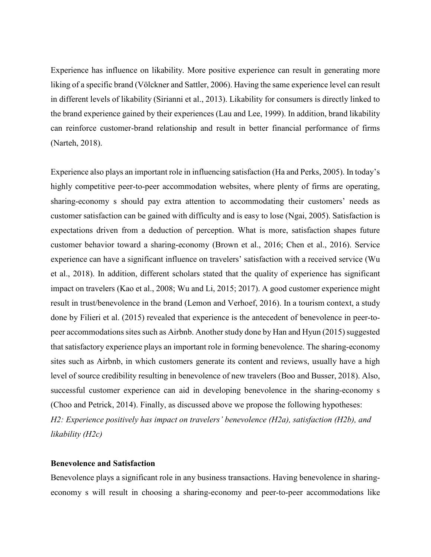Experience has influence on likability. More positive experience can result in generating more liking of a specific brand (Völckner and Sattler, 2006). Having the same experience level can result in different levels of likability (Sirianni et al., 2013). Likability for consumers is directly linked to the brand experience gained by their experiences (Lau and Lee, 1999). In addition, brand likability can reinforce customer-brand relationship and result in better financial performance of firms (Narteh, 2018).

Experience also plays an important role in influencing satisfaction (Ha and Perks, 2005). In today's highly competitive peer-to-peer accommodation websites, where plenty of firms are operating, sharing-economy s should pay extra attention to accommodating their customers' needs as customer satisfaction can be gained with difficulty and is easy to lose (Ngai, 2005). Satisfaction is expectations driven from a deduction of perception. What is more, satisfaction shapes future customer behavior toward a sharing-economy (Brown et al., 2016; Chen et al., 2016). Service experience can have a significant influence on travelers' satisfaction with a received service (Wu et al., 2018). In addition, different scholars stated that the quality of experience has significant impact on travelers (Kao et al., 2008; Wu and Li, 2015; 2017). A good customer experience might result in trust/benevolence in the brand (Lemon and Verhoef, 2016). In a tourism context, a study done by Filieri et al. (2015) revealed that experience is the antecedent of benevolence in peer-topeer accommodations sites such as Airbnb. Another study done by Han and Hyun (2015) suggested that satisfactory experience plays an important role in forming benevolence. The sharing-economy sites such as Airbnb, in which customers generate its content and reviews, usually have a high level of source credibility resulting in benevolence of new travelers (Boo and Busser, 2018). Also, successful customer experience can aid in developing benevolence in the sharing-economy s (Choo and Petrick, 2014). Finally, as discussed above we propose the following hypotheses: *H2: Experience positively has impact on travelers' benevolence (H2a), satisfaction (H2b), and likability (H2c)*

#### **Benevolence and Satisfaction**

Benevolence plays a significant role in any business transactions. Having benevolence in sharingeconomy s will result in choosing a sharing-economy and peer-to-peer accommodations like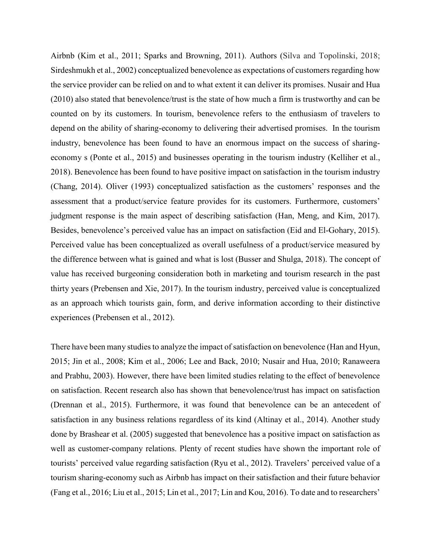Airbnb (Kim et al., 2011; Sparks and Browning, 2011). Authors (Silva and Topolinski, 2018; Sirdeshmukh et al., 2002) conceptualized benevolence as expectations of customers regarding how the service provider can be relied on and to what extent it can deliver its promises. Nusair and Hua (2010) also stated that benevolence/trust is the state of how much a firm is trustworthy and can be counted on by its customers. In tourism, benevolence refers to the enthusiasm of travelers to depend on the ability of sharing-economy to delivering their advertised promises. In the tourism industry, benevolence has been found to have an enormous impact on the success of sharingeconomy s (Ponte et al., 2015) and businesses operating in the tourism industry (Kelliher et al., 2018). Benevolence has been found to have positive impact on satisfaction in the tourism industry (Chang, 2014). Oliver (1993) conceptualized satisfaction as the customers' responses and the assessment that a product/service feature provides for its customers. Furthermore, customers' judgment response is the main aspect of describing satisfaction (Han, Meng, and Kim, 2017). Besides, benevolence's perceived value has an impact on satisfaction (Eid and El-Gohary, 2015). Perceived value has been conceptualized as overall usefulness of a product/service measured by the difference between what is gained and what is lost (Busser and Shulga, 2018). The concept of value has received burgeoning consideration both in marketing and tourism research in the past thirty years (Prebensen and Xie, 2017). In the tourism industry, perceived value is conceptualized as an approach which tourists gain, form, and derive information according to their distinctive experiences (Prebensen et al., 2012).

There have been many studies to analyze the impact of satisfaction on benevolence (Han and Hyun, 2015; Jin et al., 2008; Kim et al., 2006; Lee and Back, 2010; Nusair and Hua, 2010; Ranaweera and Prabhu, 2003). However, there have been limited studies relating to the effect of benevolence on satisfaction. Recent research also has shown that benevolence/trust has impact on satisfaction (Drennan et al., 2015). Furthermore, it was found that benevolence can be an antecedent of satisfaction in any business relations regardless of its kind (Altinay et al., 2014). Another study done by Brashear et al. (2005) suggested that benevolence has a positive impact on satisfaction as well as customer-company relations. Plenty of recent studies have shown the important role of tourists' perceived value regarding satisfaction (Ryu et al., 2012). Travelers' perceived value of a tourism sharing-economy such as Airbnb has impact on their satisfaction and their future behavior (Fang et al., 2016; Liu et al., 2015; Lin et al., 2017; Lin and Kou, 2016). To date and to researchers'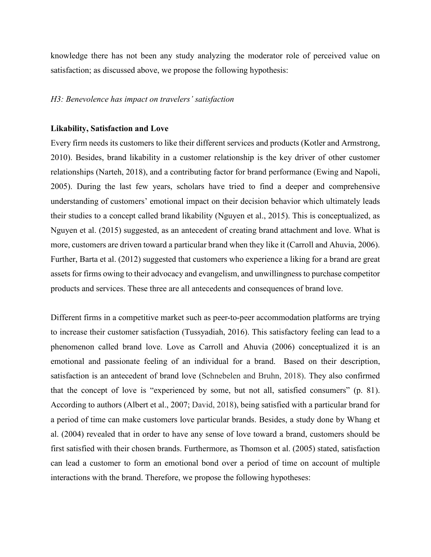knowledge there has not been any study analyzing the moderator role of perceived value on satisfaction; as discussed above, we propose the following hypothesis:

#### *H3: Benevolence has impact on travelers' satisfaction*

#### **Likability, Satisfaction and Love**

Every firm needs its customers to like their different services and products (Kotler and Armstrong, 2010). Besides, brand likability in a customer relationship is the key driver of other customer relationships (Narteh, 2018), and a contributing factor for brand performance (Ewing and Napoli, 2005). During the last few years, scholars have tried to find a deeper and comprehensive understanding of customers' emotional impact on their decision behavior which ultimately leads their studies to a concept called brand likability (Nguyen et al., 2015). This is conceptualized, as Nguyen et al. (2015) suggested, as an antecedent of creating brand attachment and love. What is more, customers are driven toward a particular brand when they like it (Carroll and Ahuvia, 2006). Further, Barta et al. (2012) suggested that customers who experience a liking for a brand are great assets for firms owing to their advocacy and evangelism, and unwillingness to purchase competitor products and services. These three are all antecedents and consequences of brand love.

Different firms in a competitive market such as peer-to-peer accommodation platforms are trying to increase their customer satisfaction (Tussyadiah, 2016). This satisfactory feeling can lead to a phenomenon called brand love. Love as Carroll and Ahuvia (2006) conceptualized it is an emotional and passionate feeling of an individual for a brand. Based on their description, satisfaction is an antecedent of brand love (Schnebelen and Bruhn, 2018). They also confirmed that the concept of love is "experienced by some, but not all, satisfied consumers" (p. 81). According to authors (Albert et al., 2007; David, 2018), being satisfied with a particular brand for a period of time can make customers love particular brands. Besides, a study done by Whang et al. (2004) revealed that in order to have any sense of love toward a brand, customers should be first satisfied with their chosen brands. Furthermore, as Thomson et al. (2005) stated, satisfaction can lead a customer to form an emotional bond over a period of time on account of multiple interactions with the brand. Therefore, we propose the following hypotheses: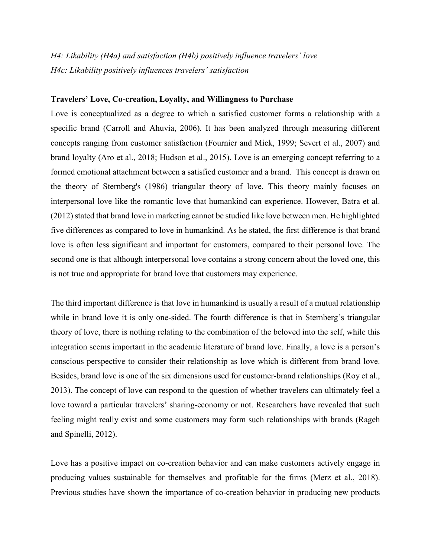*H4: Likability (H4a) and satisfaction (H4b) positively influence travelers' love H4c: Likability positively influences travelers' satisfaction* 

#### **Travelers' Love, Co-creation, Loyalty, and Willingness to Purchase**

Love is conceptualized as a degree to which a satisfied customer forms a relationship with a specific brand (Carroll and Ahuvia, 2006). It has been analyzed through measuring different concepts ranging from customer satisfaction (Fournier and Mick, 1999; Severt et al., 2007) and brand loyalty (Aro et al., 2018; Hudson et al., 2015). Love is an emerging concept referring to a formed emotional attachment between a satisfied customer and a brand. This concept is drawn on the theory of Sternberg's (1986) triangular theory of love. This theory mainly focuses on interpersonal love like the romantic love that humankind can experience. However, Batra et al. (2012) stated that brand love in marketing cannot be studied like love between men. He highlighted five differences as compared to love in humankind. As he stated, the first difference is that brand love is often less significant and important for customers, compared to their personal love. The second one is that although interpersonal love contains a strong concern about the loved one, this is not true and appropriate for brand love that customers may experience.

The third important difference is that love in humankind is usually a result of a mutual relationship while in brand love it is only one-sided. The fourth difference is that in Sternberg's triangular theory of love, there is nothing relating to the combination of the beloved into the self, while this integration seems important in the academic literature of brand love. Finally, a love is a person's conscious perspective to consider their relationship as love which is different from brand love. Besides, brand love is one of the six dimensions used for customer-brand relationships (Roy et al., 2013). The concept of love can respond to the question of whether travelers can ultimately feel a love toward a particular travelers' sharing-economy or not. Researchers have revealed that such feeling might really exist and some customers may form such relationships with brands (Rageh and Spinelli, 2012).

Love has a positive impact on co-creation behavior and can make customers actively engage in producing values sustainable for themselves and profitable for the firms (Merz et al., 2018). Previous studies have shown the importance of co-creation behavior in producing new products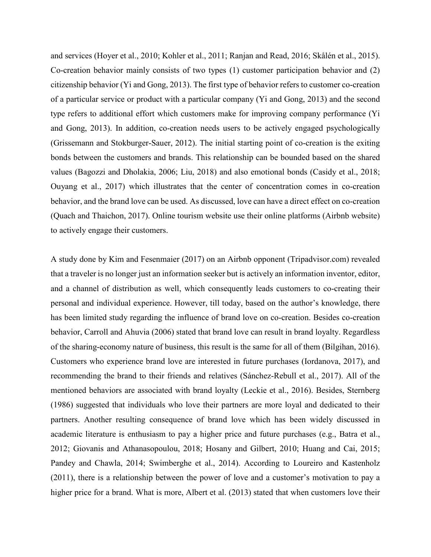and services (Hoyer et al., 2010; Kohler et al., 2011; Ranjan and Read, 2016; Skålén et al., 2015). Co-creation behavior mainly consists of two types (1) customer participation behavior and (2) citizenship behavior (Yi and Gong, 2013). The first type of behavior refers to customer co-creation of a particular service or product with a particular company (Yi and Gong, 2013) and the second type refers to additional effort which customers make for improving company performance (Yi and Gong, 2013). In addition, co-creation needs users to be actively engaged psychologically (Grissemann and Stokburger-Sauer, 2012). The initial starting point of co-creation is the exiting bonds between the customers and brands. This relationship can be bounded based on the shared values (Bagozzi and Dholakia, 2006; Liu, 2018) and also emotional bonds (Casidy et al., 2018; Ouyang et al., 2017) which illustrates that the center of concentration comes in co-creation behavior, and the brand love can be used. As discussed, love can have a direct effect on co-creation (Quach and Thaichon, 2017). Online tourism website use their online platforms (Airbnb website) to actively engage their customers.

A study done by Kim and Fesenmaier (2017) on an Airbnb opponent (Tripadvisor.com) revealed that a traveler is no longer just an information seeker but is actively an information inventor, editor, and a channel of distribution as well, which consequently leads customers to co-creating their personal and individual experience. However, till today, based on the author's knowledge, there has been limited study regarding the influence of brand love on co-creation. Besides co-creation behavior, Carroll and Ahuvia (2006) stated that brand love can result in brand loyalty. Regardless of the sharing-economy nature of business, this result is the same for all of them (Bilgihan, 2016). Customers who experience brand love are interested in future purchases (Iordanova, 2017), and recommending the brand to their friends and relatives (Sánchez-Rebull et al., 2017). All of the mentioned behaviors are associated with brand loyalty (Leckie et al., 2016). Besides, Sternberg (1986) suggested that individuals who love their partners are more loyal and dedicated to their partners. Another resulting consequence of brand love which has been widely discussed in academic literature is enthusiasm to pay a higher price and future purchases (e.g., Batra et al., 2012; Giovanis and Athanasopoulou, 2018; Hosany and Gilbert, 2010; Huang and Cai, 2015; Pandey and Chawla, 2014; Swimberghe et al., 2014). According to Loureiro and Kastenholz (2011), there is a relationship between the power of love and a customer's motivation to pay a higher price for a brand. What is more, Albert et al. (2013) stated that when customers love their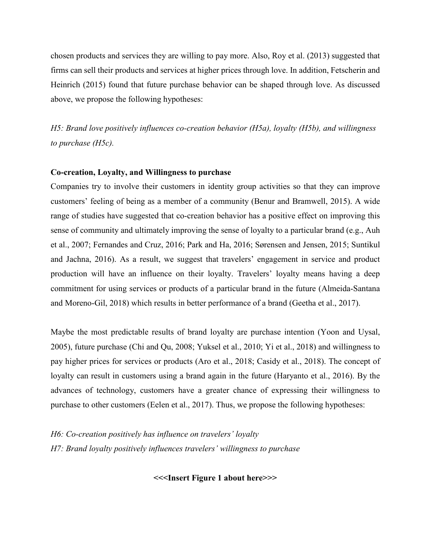chosen products and services they are willing to pay more. Also, Roy et al. (2013) suggested that firms can sell their products and services at higher prices through love. In addition, Fetscherin and Heinrich (2015) found that future purchase behavior can be shaped through love. As discussed above, we propose the following hypotheses:

*H5: Brand love positively influences co-creation behavior (H5a), loyalty (H5b), and willingness to purchase (H5c).* 

#### **Co-creation, Loyalty, and Willingness to purchase**

Companies try to involve their customers in identity group activities so that they can improve customers' feeling of being as a member of a community (Benur and Bramwell, 2015). A wide range of studies have suggested that co-creation behavior has a positive effect on improving this sense of community and ultimately improving the sense of loyalty to a particular brand (e.g., Auh et al., 2007; Fernandes and Cruz, 2016; Park and Ha, 2016; Sørensen and Jensen, 2015; Suntikul and Jachna, 2016). As a result, we suggest that travelers' engagement in service and product production will have an influence on their loyalty. Travelers' loyalty means having a deep commitment for using services or products of a particular brand in the future (Almeida-Santana and Moreno-Gil, 2018) which results in better performance of a brand (Geetha et al., 2017).

Maybe the most predictable results of brand loyalty are purchase intention (Yoon and Uysal, 2005), future purchase (Chi and Qu, 2008; Yuksel et al., 2010; Yi et al., 2018) and willingness to pay higher prices for services or products (Aro et al., 2018; Casidy et al., 2018). The concept of loyalty can result in customers using a brand again in the future (Haryanto et al., 2016). By the advances of technology, customers have a greater chance of expressing their willingness to purchase to other customers (Eelen et al., 2017). Thus, we propose the following hypotheses:

*H6: Co-creation positively has influence on travelers' loyalty H7: Brand loyalty positively influences travelers' willingness to purchase*

**<<<Insert Figure 1 about here>>>**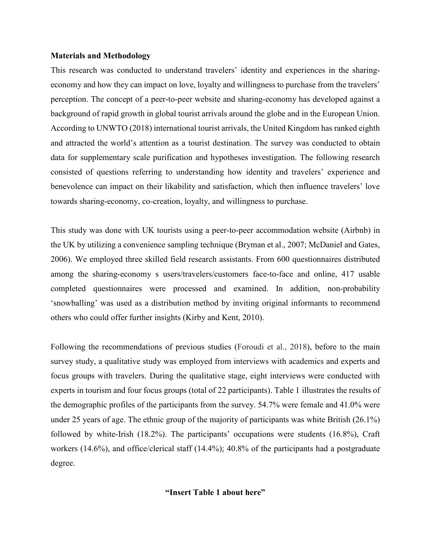#### **Materials and Methodology**

This research was conducted to understand travelers' identity and experiences in the sharingeconomy and how they can impact on love, loyalty and willingness to purchase from the travelers' perception. The concept of a peer-to-peer website and sharing-economy has developed against a background of rapid growth in global tourist arrivals around the globe and in the European Union. According to UNWTO (2018) international tourist arrivals, the United Kingdom has ranked eighth and attracted the world's attention as a tourist destination. The survey was conducted to obtain data for supplementary scale purification and hypotheses investigation. The following research consisted of questions referring to understanding how identity and travelers' experience and benevolence can impact on their likability and satisfaction, which then influence travelers' love towards sharing-economy, co-creation, loyalty, and willingness to purchase.

This study was done with UK tourists using a peer-to-peer accommodation website (Airbnb) in the UK by utilizing a convenience sampling technique (Bryman et al., 2007; McDaniel and Gates, 2006). We employed three skilled field research assistants. From 600 questionnaires distributed among the sharing-economy s users/travelers/customers face-to-face and online, 417 usable completed questionnaires were processed and examined. In addition, non-probability 'snowballing' was used as a distribution method by inviting original informants to recommend others who could offer further insights (Kirby and Kent, 2010).

Following the recommendations of previous studies (Foroudi et al., 2018), before to the main survey study, a qualitative study was employed from interviews with academics and experts and focus groups with travelers. During the qualitative stage, eight interviews were conducted with experts in tourism and four focus groups (total of 22 participants). Table 1 illustrates the results of the demographic profiles of the participants from the survey. 54.7% were female and 41.0% were under 25 years of age. The ethnic group of the majority of participants was white British (26.1%) followed by white-Irish (18.2%). The participants' occupations were students (16.8%), Craft workers (14.6%), and office/clerical staff (14.4%); 40.8% of the participants had a postgraduate degree.

**"Insert Table 1 about here"**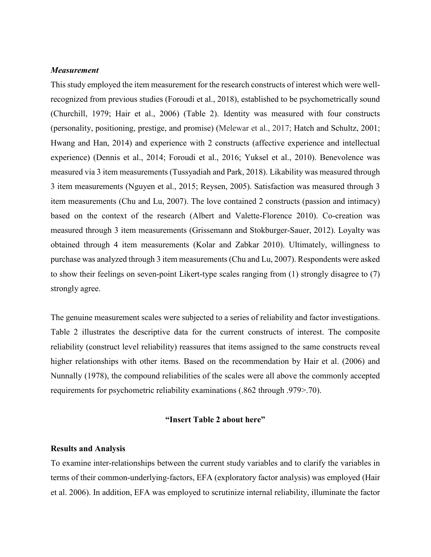#### *Measurement*

This study employed the item measurement for the research constructs of interest which were wellrecognized from previous studies (Foroudi et al., 2018), established to be psychometrically sound (Churchill, 1979; Hair et al., 2006) (Table 2). Identity was measured with four constructs (personality, positioning, prestige, and promise) (Melewar et al., 2017; Hatch and Schultz, 2001; Hwang and Han, 2014) and experience with 2 constructs (affective experience and intellectual experience) (Dennis et al., 2014; Foroudi et al., 2016; Yuksel et al., 2010). Benevolence was measured via 3 item measurements (Tussyadiah and Park, 2018). Likability was measured through 3 item measurements (Nguyen et al., 2015; Reysen, 2005). Satisfaction was measured through 3 item measurements (Chu and Lu, 2007). The love contained 2 constructs (passion and intimacy) based on the context of the research (Albert and Valette-Florence 2010). Co-creation was measured through 3 item measurements (Grissemann and Stokburger-Sauer, 2012). Loyalty was obtained through 4 item measurements (Kolar and Zabkar 2010). Ultimately, willingness to purchase was analyzed through 3 item measurements (Chu and Lu, 2007). Respondents were asked to show their feelings on seven-point Likert-type scales ranging from (1) strongly disagree to (7) strongly agree.

The genuine measurement scales were subjected to a series of reliability and factor investigations. Table 2 illustrates the descriptive data for the current constructs of interest. The composite reliability (construct level reliability) reassures that items assigned to the same constructs reveal higher relationships with other items. Based on the recommendation by Hair et al. (2006) and Nunnally (1978), the compound reliabilities of the scales were all above the commonly accepted requirements for psychometric reliability examinations (.862 through .979>.70).

#### **"Insert Table 2 about here"**

#### **Results and Analysis**

To examine inter-relationships between the current study variables and to clarify the variables in terms of their common-underlying-factors, EFA (exploratory factor analysis) was employed (Hair et al. 2006). In addition, EFA was employed to scrutinize internal reliability, illuminate the factor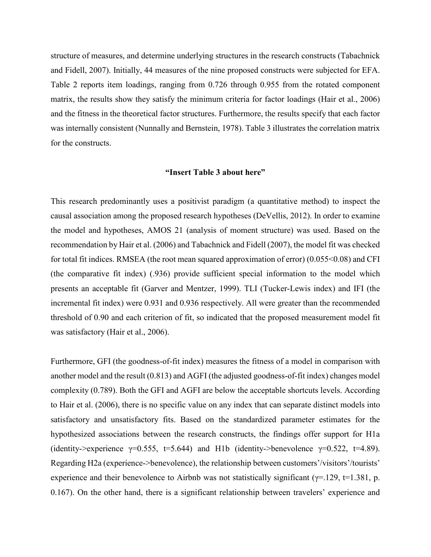structure of measures, and determine underlying structures in the research constructs (Tabachnick and Fidell, 2007). Initially, 44 measures of the nine proposed constructs were subjected for EFA. Table 2 reports item loadings, ranging from 0.726 through 0.955 from the rotated component matrix, the results show they satisfy the minimum criteria for factor loadings (Hair et al., 2006) and the fitness in the theoretical factor structures. Furthermore, the results specify that each factor was internally consistent (Nunnally and Bernstein, 1978). Table 3 illustrates the correlation matrix for the constructs.

#### **"Insert Table 3 about here"**

This research predominantly uses a positivist paradigm (a quantitative method) to inspect the causal association among the proposed research hypotheses (DeVellis, 2012). In order to examine the model and hypotheses, AMOS 21 (analysis of moment structure) was used. Based on the recommendation by Hair et al. (2006) and Tabachnick and Fidell (2007), the model fit was checked for total fit indices. RMSEA (the root mean squared approximation of error) (0.055<0.08) and CFI (the comparative fit index) (.936) provide sufficient special information to the model which presents an acceptable fit (Garver and Mentzer, 1999). TLI (Tucker-Lewis index) and IFI (the incremental fit index) were 0.931 and 0.936 respectively. All were greater than the recommended threshold of 0.90 and each criterion of fit, so indicated that the proposed measurement model fit was satisfactory (Hair et al., 2006).

Furthermore, GFI (the goodness-of-fit index) measures the fitness of a model in comparison with another model and the result (0.813) and AGFI (the adjusted goodness-of-fit index) changes model complexity (0.789). Both the GFI and AGFI are below the acceptable shortcuts levels. According to Hair et al. (2006), there is no specific value on any index that can separate distinct models into satisfactory and unsatisfactory fits. Based on the standardized parameter estimates for the hypothesized associations between the research constructs, the findings offer support for H1a (identity->experience  $\gamma=0.555$ , t=5.644) and H1b (identity->benevolence  $\gamma=0.522$ , t=4.89). Regarding H2a (experience->benevolence), the relationship between customers'/visitors'/tourists' experience and their benevolence to Airbnb was not statistically significant ( $\gamma$ =.129, t=1.381, p. 0.167). On the other hand, there is a significant relationship between travelers' experience and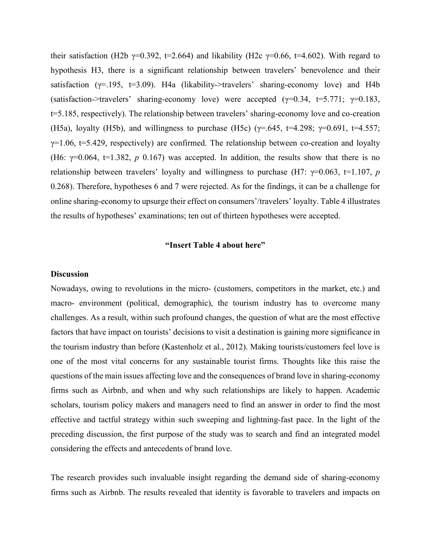their satisfaction (H2b  $\gamma$ =0.392, t=2.664) and likability (H2c  $\gamma$ =0.66, t=4.602). With regard to hypothesis H3, there is a significant relationship between travelers' benevolence and their satisfaction ( $\gamma$ =.195, t=3.09). H4a (likability->travelers' sharing-economy love) and H4b (satisfaction->travelers' sharing-economy love) were accepted ( $\gamma$ =0.34, t=5.771;  $\gamma$ =0.183, t=5.185, respectively). The relationship between travelers' sharing-economy love and co-creation (H5a), loyalty (H5b), and willingness to purchase (H5c) ( $\gamma$ =.645, t=4.298;  $\gamma$ =0.691, t=4.557;  $\gamma$ =1.06, t=5.429, respectively) are confirmed. The relationship between co-creation and loyalty (H6:  $\gamma$ =0.064, t=1.382, *p* 0.167) was accepted. In addition, the results show that there is no relationship between travelers' loyalty and willingness to purchase (H7:  $\gamma$ =0.063, t=1.107, *p* 0.268). Therefore, hypotheses 6 and 7 were rejected. As for the findings, it can be a challenge for online sharing-economy to upsurge their effect on consumers'/travelers' loyalty. Table 4 illustrates the results of hypotheses' examinations; ten out of thirteen hypotheses were accepted.

#### **"Insert Table 4 about here"**

#### **Discussion**

Nowadays, owing to revolutions in the micro- (customers, competitors in the market, etc.) and macro- environment (political, demographic), the tourism industry has to overcome many challenges. As a result, within such profound changes, the question of what are the most effective factors that have impact on tourists' decisions to visit a destination is gaining more significance in the tourism industry than before (Kastenholz et al., 2012). Making tourists/customers feel love is one of the most vital concerns for any sustainable tourist firms. Thoughts like this raise the questions of the main issues affecting love and the consequences of brand love in sharing-economy firms such as Airbnb, and when and why such relationships are likely to happen. Academic scholars, tourism policy makers and managers need to find an answer in order to find the most effective and tactful strategy within such sweeping and lightning-fast pace. In the light of the preceding discussion, the first purpose of the study was to search and find an integrated model considering the effects and antecedents of brand love.

The research provides such invaluable insight regarding the demand side of sharing-economy firms such as Airbnb. The results revealed that identity is favorable to travelers and impacts on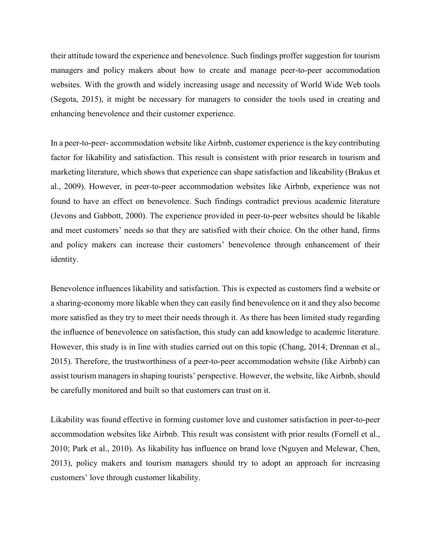their attitude toward the experience and benevolence. Such findings proffer suggestion for tourism managers and policy makers about how to create and manage peer-to-peer accommodation websites. With the growth and widely increasing usage and necessity of World Wide Web tools (Segota, 2015), it might be necessary for managers to consider the tools used in creating and enhancing benevolence and their customer experience.

In a peer-to-peer- accommodation website like Airbnb, customer experience is the key contributing factor for likability and satisfaction. This result is consistent with prior research in tourism and marketing literature, which shows that experience can shape satisfaction and likeability (Brakus et al., 2009). However, in peer-to-peer accommodation websites like Airbnb, experience was not found to have an effect on benevolence. Such findings contradict previous academic literature (Jevons and Gabbott, 2000). The experience provided in peer-to-peer websites should be likable and meet customers' needs so that they are satisfied with their choice. On the other hand, firms and policy makers can increase their customers' benevolence through enhancement of their identity.

Benevolence influences likability and satisfaction. This is expected as customers find a website or a sharing-economy more likable when they can easily find benevolence on it and they also become more satisfied as they try to meet their needs through it. As there has been limited study regarding the influence of benevolence on satisfaction, this study can add knowledge to academic literature. However, this study is in line with studies carried out on this topic (Chang, 2014; Drennan et al., 2015). Therefore, the trustworthiness of a peer-to-peer accommodation website (like Airbnb) can assist tourism managers in shaping tourists' perspective. However, the website, like Airbnb, should be carefully monitored and built so that customers can trust on it.

Likability was found effective in forming customer love and customer satisfaction in peer-to-peer accommodation websites like Airbnb. This result was consistent with prior results (Fornell et al., 2010; Park et al., 2010). As likability has influence on brand love (Nguyen and Melewar, Chen, 2013), policy makers and tourism managers should try to adopt an approach for increasing customers' love through customer likability.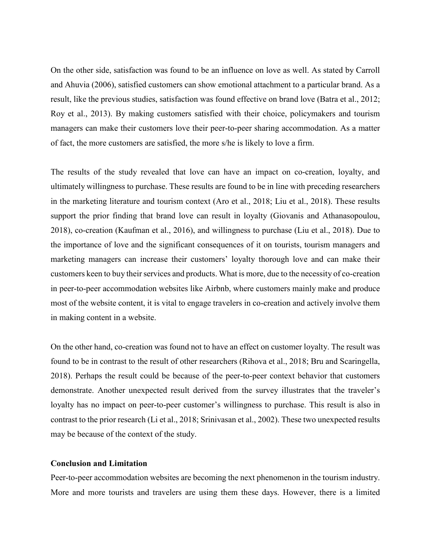On the other side, satisfaction was found to be an influence on love as well. As stated by Carroll and Ahuvia (2006), satisfied customers can show emotional attachment to a particular brand. As a result, like the previous studies, satisfaction was found effective on brand love (Batra et al., 2012; Roy et al., 2013). By making customers satisfied with their choice, policymakers and tourism managers can make their customers love their peer-to-peer sharing accommodation. As a matter of fact, the more customers are satisfied, the more s/he is likely to love a firm.

The results of the study revealed that love can have an impact on co-creation, loyalty, and ultimately willingness to purchase. These results are found to be in line with preceding researchers in the marketing literature and tourism context (Aro et al., 2018; Liu et al., 2018). These results support the prior finding that brand love can result in loyalty (Giovanis and Athanasopoulou, 2018), co-creation (Kaufman et al., 2016), and willingness to purchase (Liu et al., 2018). Due to the importance of love and the significant consequences of it on tourists, tourism managers and marketing managers can increase their customers' loyalty thorough love and can make their customers keen to buy their services and products. What is more, due to the necessity of co-creation in peer-to-peer accommodation websites like Airbnb, where customers mainly make and produce most of the website content, it is vital to engage travelers in co-creation and actively involve them in making content in a website.

On the other hand, co-creation was found not to have an effect on customer loyalty. The result was found to be in contrast to the result of other researchers (Rihova et al., 2018; Bru and Scaringella, 2018). Perhaps the result could be because of the peer-to-peer context behavior that customers demonstrate. Another unexpected result derived from the survey illustrates that the traveler's loyalty has no impact on peer-to-peer customer's willingness to purchase. This result is also in contrast to the prior research (Li et al., 2018; Srinivasan et al., 2002). These two unexpected results may be because of the context of the study.

#### **Conclusion and Limitation**

Peer-to-peer accommodation websites are becoming the next phenomenon in the tourism industry. More and more tourists and travelers are using them these days. However, there is a limited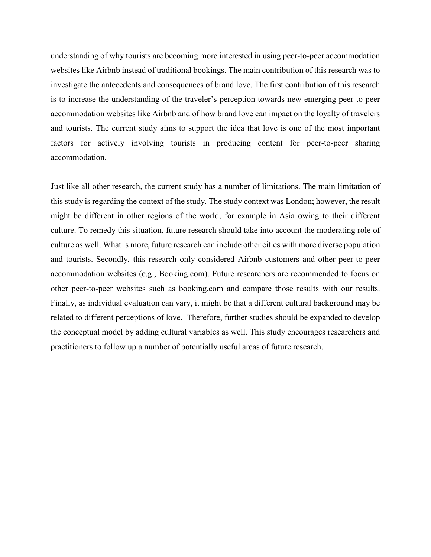understanding of why tourists are becoming more interested in using peer-to-peer accommodation websites like Airbnb instead of traditional bookings. The main contribution of this research was to investigate the antecedents and consequences of brand love. The first contribution of this research is to increase the understanding of the traveler's perception towards new emerging peer-to-peer accommodation websites like Airbnb and of how brand love can impact on the loyalty of travelers and tourists. The current study aims to support the idea that love is one of the most important factors for actively involving tourists in producing content for peer-to-peer sharing accommodation.

Just like all other research, the current study has a number of limitations. The main limitation of this study is regarding the context of the study. The study context was London; however, the result might be different in other regions of the world, for example in Asia owing to their different culture. To remedy this situation, future research should take into account the moderating role of culture as well. What is more, future research can include other cities with more diverse population and tourists. Secondly, this research only considered Airbnb customers and other peer-to-peer accommodation websites (e.g., Booking.com). Future researchers are recommended to focus on other peer-to-peer websites such as booking.com and compare those results with our results. Finally, as individual evaluation can vary, it might be that a different cultural background may be related to different perceptions of love. Therefore, further studies should be expanded to develop the conceptual model by adding cultural variables as well. This study encourages researchers and practitioners to follow up a number of potentially useful areas of future research.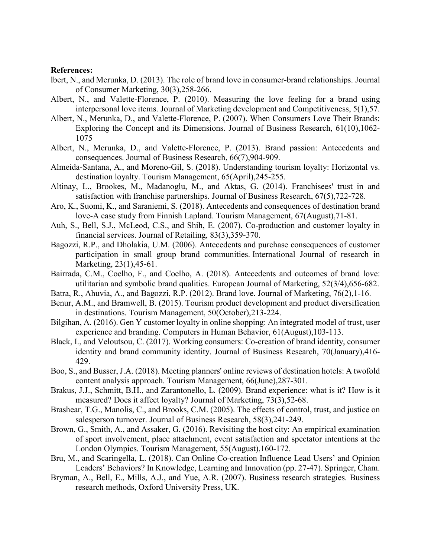#### **References:**

- lbert, N., and Merunka, D. (2013). The role of brand love in consumer-brand relationships. Journal of Consumer Marketing, 30(3),258-266.
- Albert, N., and Valette-Florence, P. (2010). Measuring the love feeling for a brand using interpersonal love items. Journal of Marketing development and Competitiveness, 5(1),57.
- Albert, N., Merunka, D., and Valette-Florence, P. (2007). When Consumers Love Their Brands: Exploring the Concept and its Dimensions. Journal of Business Research, 61(10),1062- 1075
- Albert, N., Merunka, D., and Valette-Florence, P. (2013). Brand passion: Antecedents and consequences. Journal of Business Research, 66(7),904-909.
- Almeida-Santana, A., and Moreno-Gil, S. (2018). Understanding tourism loyalty: Horizontal vs. destination loyalty. Tourism Management, 65(April),245-255.
- Altinay, L., Brookes, M., Madanoglu, M., and Aktas, G. (2014). Franchisees' trust in and satisfaction with franchise partnerships. Journal of Business Research, 67(5),722-728.
- Aro, K., Suomi, K., and Saraniemi, S. (2018). Antecedents and consequences of destination brand love-A case study from Finnish Lapland. Tourism Management, 67(August),71-81.
- Auh, S., Bell, S.J., McLeod, C.S., and Shih, E. (2007). Co-production and customer loyalty in financial services. Journal of Retailing, 83(3),359-370.
- Bagozzi, R.P., and Dholakia, U.M. (2006). Antecedents and purchase consequences of customer participation in small group brand communities. International Journal of research in Marketing, 23(1),45-61.
- Bairrada, C.M., Coelho, F., and Coelho, A. (2018). Antecedents and outcomes of brand love: utilitarian and symbolic brand qualities. European Journal of Marketing, 52(3/4),656-682.
- Batra, R., Ahuvia, A., and Bagozzi, R.P. (2012). Brand love. Journal of Marketing, 76(2),1-16.
- Benur, A.M., and Bramwell, B. (2015). Tourism product development and product diversification in destinations. Tourism Management, 50(October),213-224.
- Bilgihan, A. (2016). Gen Y customer loyalty in online shopping: An integrated model of trust, user experience and branding. Computers in Human Behavior, 61(August),103-113.
- Black, I., and Veloutsou, C. (2017). Working consumers: Co-creation of brand identity, consumer identity and brand community identity. Journal of Business Research, 70(January),416- 429.
- Boo, S., and Busser, J.A. (2018). Meeting planners' online reviews of destination hotels: A twofold content analysis approach. Tourism Management, 66(June),287-301.
- Brakus, J.J., Schmitt, B.H., and Zarantonello, L. (2009). Brand experience: what is it? How is it measured? Does it affect loyalty? Journal of Marketing, 73(3),52-68.
- Brashear, T.G., Manolis, C., and Brooks, C.M. (2005). The effects of control, trust, and justice on salesperson turnover. Journal of Business Research, 58(3),241-249.
- Brown, G., Smith, A., and Assaker, G. (2016). Revisiting the host city: An empirical examination of sport involvement, place attachment, event satisfaction and spectator intentions at the London Olympics. Tourism Management, 55(August),160-172.
- Bru, M., and Scaringella, L. (2018). Can Online Co-creation Influence Lead Users' and Opinion Leaders' Behaviors? In Knowledge, Learning and Innovation (pp. 27-47). Springer, Cham.
- Bryman, A., Bell, E., Mills, A.J., and Yue, A.R. (2007). Business research strategies. Business research methods, Oxford University Press, UK.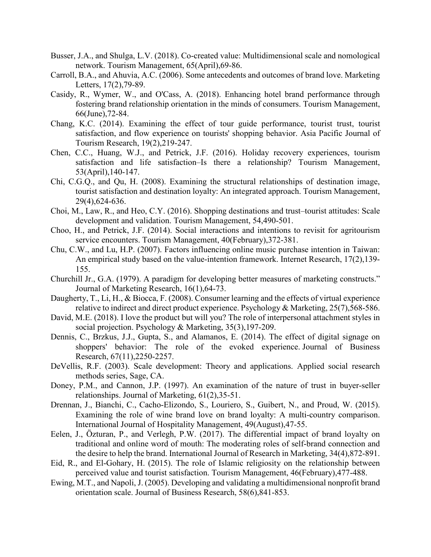- Busser, J.A., and Shulga, L.V. (2018). Co-created value: Multidimensional scale and nomological network. Tourism Management, 65(April),69-86.
- Carroll, B.A., and Ahuvia, A.C. (2006). Some antecedents and outcomes of brand love. Marketing Letters, 17(2),79-89.
- Casidy, R., Wymer, W., and O'Cass, A. (2018). Enhancing hotel brand performance through fostering brand relationship orientation in the minds of consumers. Tourism Management, 66(June),72-84.
- Chang, K.C. (2014). Examining the effect of tour guide performance, tourist trust, tourist satisfaction, and flow experience on tourists' shopping behavior. Asia Pacific Journal of Tourism Research, 19(2),219-247.
- Chen, C.C., Huang, W.J., and Petrick, J.F. (2016). Holiday recovery experiences, tourism satisfaction and life satisfaction–Is there a relationship? Tourism Management, 53(April),140-147.
- Chi, C.G.Q., and Qu, H. (2008). Examining the structural relationships of destination image, tourist satisfaction and destination loyalty: An integrated approach. Tourism Management, 29(4),624-636.
- Choi, M., Law, R., and Heo, C.Y. (2016). Shopping destinations and trust–tourist attitudes: Scale development and validation. Tourism Management, 54,490-501.
- Choo, H., and Petrick, J.F. (2014). Social interactions and intentions to revisit for agritourism service encounters. Tourism Management, 40(February), 372-381.
- Chu, C.W., and Lu, H.P. (2007). Factors influencing online music purchase intention in Taiwan: An empirical study based on the value-intention framework. Internet Research, 17(2),139- 155.
- Churchill Jr., G.A. (1979). A paradigm for developing better measures of marketing constructs." Journal of Marketing Research, 16(1),64-73.
- Daugherty, T., Li, H., & Biocca, F. (2008). Consumer learning and the effects of virtual experience relative to indirect and direct product experience. Psychology & Marketing, 25(7),568-586.
- David, M.E. (2018). I love the product but will you? The role of interpersonal attachment styles in social projection. Psychology & Marketing, 35(3),197-209.
- Dennis, C., Brzkus, J.J., Gupta, S., and Alamanos, E. (2014). The effect of digital signage on shoppers' behavior: The role of the evoked experience. Journal of Business Research, 67(11),2250-2257.
- DeVellis, R.F. (2003). Scale development: Theory and applications. Applied social research methods series, Sage, CA.
- Doney, P.M., and Cannon, J.P. (1997). An examination of the nature of trust in buyer-seller relationships. Journal of Marketing, 61(2),35-51.
- Drennan, J., Bianchi, C., Cacho-Elizondo, S., Louriero, S., Guibert, N., and Proud, W. (2015). Examining the role of wine brand love on brand loyalty: A multi-country comparison. International Journal of Hospitality Management, 49(August),47-55.
- Eelen, J., Özturan, P., and Verlegh, P.W. (2017). The differential impact of brand loyalty on traditional and online word of mouth: The moderating roles of self-brand connection and the desire to help the brand. International Journal of Research in Marketing, 34(4),872-891.
- Eid, R., and El-Gohary, H. (2015). The role of Islamic religiosity on the relationship between perceived value and tourist satisfaction. Tourism Management, 46(February),477-488.
- Ewing, M.T., and Napoli, J. (2005). Developing and validating a multidimensional nonprofit brand orientation scale. Journal of Business Research, 58(6),841-853.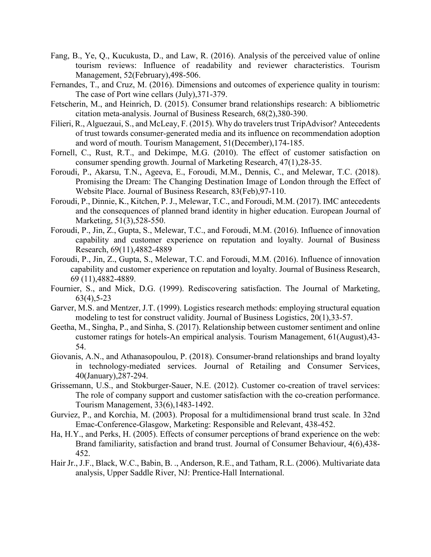- Fang, B., Ye, Q., Kucukusta, D., and Law, R. (2016). Analysis of the perceived value of online tourism reviews: Influence of readability and reviewer characteristics. Tourism Management, 52(February),498-506.
- Fernandes, T., and Cruz, M. (2016). Dimensions and outcomes of experience quality in tourism: The case of Port wine cellars (July),371-379.
- Fetscherin, M., and Heinrich, D. (2015). Consumer brand relationships research: A bibliometric citation meta-analysis. Journal of Business Research, 68(2),380-390.
- Filieri, R., Alguezaui, S., and McLeay, F. (2015). Why do travelers trust TripAdvisor? Antecedents of trust towards consumer-generated media and its influence on recommendation adoption and word of mouth. Tourism Management, 51(December),174-185.
- Fornell, C., Rust, R.T., and Dekimpe, M.G. (2010). The effect of customer satisfaction on consumer spending growth. Journal of Marketing Research, 47(1),28-35.
- Foroudi, P., Akarsu, T.N., Ageeva, E., Foroudi, M.M., Dennis, C., and Melewar, T.C. (2018). Promising the Dream: The Changing Destination Image of London through the Effect of Website Place. Journal of Business Research, 83(Feb),97-110.
- Foroudi, P., Dinnie, K., Kitchen, P. J., Melewar, T.C., and Foroudi, M.M. (2017). IMC antecedents and the consequences of planned brand identity in higher education. European Journal of Marketing, 51(3), 528-550.
- Foroudi, P., Jin, Z., Gupta, S., Melewar, T.C., and Foroudi, M.M. (2016). Influence of innovation capability and customer experience on reputation and loyalty. Journal of Business Research, 69(11),4882-4889
- Foroudi, P., Jin, Z., Gupta, S., Melewar, T.C. and Foroudi, M.M. (2016). Influence of innovation capability and customer experience on reputation and loyalty. Journal of Business Research, 69 (11),4882-4889.
- Fournier, S., and Mick, D.G. (1999). Rediscovering satisfaction. The Journal of Marketing, 63(4),5-23
- Garver, M.S. and Mentzer, J.T. (1999). Logistics research methods: employing structural equation modeling to test for construct validity. Journal of Business Logistics, 20(1),33-57.
- Geetha, M., Singha, P., and Sinha, S. (2017). Relationship between customer sentiment and online customer ratings for hotels-An empirical analysis. Tourism Management, 61(August),43- 54.
- Giovanis, A.N., and Athanasopoulou, P. (2018). Consumer-brand relationships and brand loyalty in technology-mediated services. Journal of Retailing and Consumer Services, 40(January),287-294.
- Grissemann, U.S., and Stokburger-Sauer, N.E. (2012). Customer co-creation of travel services: The role of company support and customer satisfaction with the co-creation performance. Tourism Management, 33(6),1483-1492.
- Gurviez, P., and Korchia, M. (2003). Proposal for a multidimensional brand trust scale. In 32nd Emac-Conference-Glasgow, Marketing: Responsible and Relevant, 438-452.
- Ha, H.Y., and Perks, H. (2005). Effects of consumer perceptions of brand experience on the web: Brand familiarity, satisfaction and brand trust. Journal of Consumer Behaviour, 4(6),438- 452.
- Hair Jr., J.F., Black, W.C., Babin, B. ., Anderson, R.E., and Tatham, R.L. (2006). Multivariate data analysis, Upper Saddle River, NJ: Prentice-Hall International.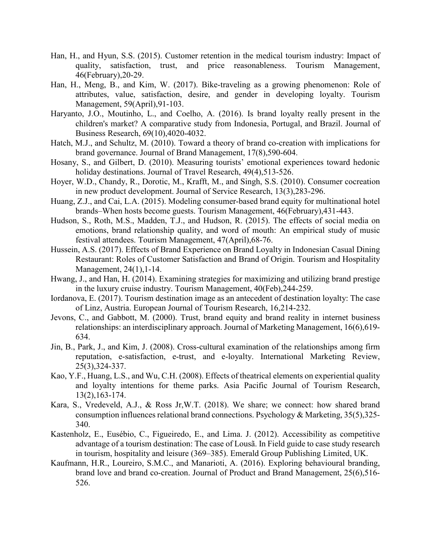- Han, H., and Hyun, S.S. (2015). Customer retention in the medical tourism industry: Impact of quality, satisfaction, trust, and price reasonableness. Tourism Management, 46(February),20-29.
- Han, H., Meng, B., and Kim, W. (2017). Bike-traveling as a growing phenomenon: Role of attributes, value, satisfaction, desire, and gender in developing loyalty. Tourism Management, 59(April),91-103.
- Haryanto, J.O., Moutinho, L., and Coelho, A. (2016). Is brand loyalty really present in the children's market? A comparative study from Indonesia, Portugal, and Brazil. Journal of Business Research, 69(10),4020-4032.
- Hatch, M.J., and Schultz, M. (2010). Toward a theory of brand co-creation with implications for brand governance. Journal of Brand Management, 17(8),590-604.
- Hosany, S., and Gilbert, D. (2010). Measuring tourists' emotional experiences toward hedonic holiday destinations. Journal of Travel Research, 49(4), 513-526.
- Hoyer, W.D., Chandy, R., Dorotic, M., Krafft, M., and Singh, S.S. (2010). Consumer cocreation in new product development. Journal of Service Research, 13(3),283-296.
- Huang, Z.J., and Cai, L.A. (2015). Modeling consumer-based brand equity for multinational hotel brands–When hosts become guests. Tourism Management, 46(February),431-443.
- Hudson, S., Roth, M.S., Madden, T.J., and Hudson, R. (2015). The effects of social media on emotions, brand relationship quality, and word of mouth: An empirical study of music festival attendees. Tourism Management, 47(April),68-76.
- Hussein, A.S. (2017). Effects of Brand Experience on Brand Loyalty in Indonesian Casual Dining Restaurant: Roles of Customer Satisfaction and Brand of Origin. Tourism and Hospitality Management, 24(1),1-14.
- Hwang, J., and Han, H. (2014). Examining strategies for maximizing and utilizing brand prestige in the luxury cruise industry. Tourism Management, 40(Feb),244-259.
- Iordanova, E. (2017). Tourism destination image as an antecedent of destination loyalty: The case of Linz, Austria. European Journal of Tourism Research, 16,214-232.
- Jevons, C., and Gabbott, M. (2000). Trust, brand equity and brand reality in internet business relationships: an interdisciplinary approach. Journal of Marketing Management, 16(6),619- 634.
- Jin, B., Park, J., and Kim, J. (2008). Cross-cultural examination of the relationships among firm reputation, e-satisfaction, e-trust, and e-loyalty. International Marketing Review, 25(3),324-337.
- Kao, Y.F., Huang, L.S., and Wu, C.H. (2008). Effects of theatrical elements on experiential quality and loyalty intentions for theme parks. Asia Pacific Journal of Tourism Research, 13(2),163-174.
- Kara, S., Vredeveld, A.J., & Ross Jr,W.T. (2018). We share; we connect: how shared brand consumption influences relational brand connections. Psychology & Marketing, 35(5),325- 340.
- Kastenholz, E., Eusébio, C., Figueiredo, E., and Lima. J. (2012). Accessibility as competitive advantage of a tourism destination: The case of Lousã. In Field guide to case study research in tourism, hospitality and leisure (369–385). Emerald Group Publishing Limited, UK.
- Kaufmann, H.R., Loureiro, S.M.C., and Manarioti, A. (2016). Exploring behavioural branding, brand love and brand co-creation. Journal of Product and Brand Management, 25(6),516- 526.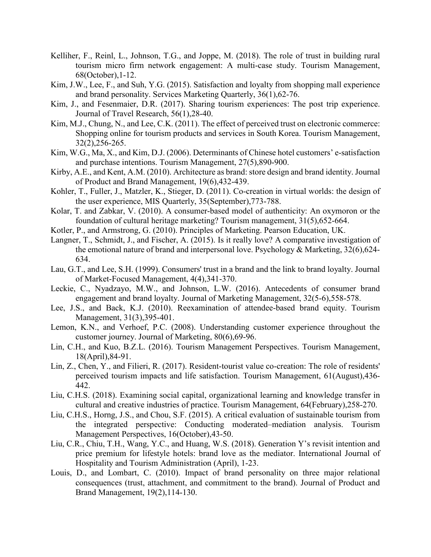- Kelliher, F., Reinl, L., Johnson, T.G., and Joppe, M. (2018). The role of trust in building rural tourism micro firm network engagement: A multi-case study. Tourism Management, 68(October),1-12.
- Kim, J.W., Lee, F., and Suh, Y.G. (2015). Satisfaction and loyalty from shopping mall experience and brand personality. Services Marketing Quarterly, 36(1),62-76.
- Kim, J., and Fesenmaier, D.R. (2017). Sharing tourism experiences: The post trip experience. Journal of Travel Research, 56(1),28-40.
- Kim, M.J., Chung, N., and Lee, C.K. (2011). The effect of perceived trust on electronic commerce: Shopping online for tourism products and services in South Korea. Tourism Management, 32(2),256-265.
- Kim, W.G., Ma, X., and Kim, D.J. (2006). Determinants of Chinese hotel customers' e-satisfaction and purchase intentions. Tourism Management, 27(5),890-900.
- Kirby, A.E., and Kent, A.M. (2010). Architecture as brand: store design and brand identity. Journal of Product and Brand Management, 19(6),432-439.
- Kohler, T., Fuller, J., Matzler, K., Stieger, D. (2011). Co-creation in virtual worlds: the design of the user experience, MIS Quarterly, 35(September),773-788.
- Kolar, T. and Zabkar, V. (2010). A consumer-based model of authenticity: An oxymoron or the foundation of cultural heritage marketing? Tourism management, 31(5),652-664.
- Kotler, P., and Armstrong, G. (2010). Principles of Marketing. Pearson Education, UK.
- Langner, T., Schmidt, J., and Fischer, A. (2015). Is it really love? A comparative investigation of the emotional nature of brand and interpersonal love. Psychology & Marketing, 32(6),624- 634.
- Lau, G.T., and Lee, S.H. (1999). Consumers' trust in a brand and the link to brand loyalty. Journal of Market-Focused Management, 4(4),341-370.
- Leckie, C., Nyadzayo, M.W., and Johnson, L.W. (2016). Antecedents of consumer brand engagement and brand loyalty. Journal of Marketing Management, 32(5-6),558-578.
- Lee, J.S., and Back, K.J. (2010). Reexamination of attendee-based brand equity. Tourism Management, 31(3),395-401.
- Lemon, K.N., and Verhoef, P.C. (2008). Understanding customer experience throughout the customer journey. Journal of Marketing, 80(6),69-96.
- Lin, C.H., and Kuo, B.Z.L. (2016). Tourism Management Perspectives. Tourism Management, 18(April),84-91.
- Lin, Z., Chen, Y., and Filieri, R. (2017). Resident-tourist value co-creation: The role of residents' perceived tourism impacts and life satisfaction. Tourism Management, 61(August),436- 442.
- Liu, C.H.S. (2018). Examining social capital, organizational learning and knowledge transfer in cultural and creative industries of practice. Tourism Management, 64(February),258-270.
- Liu, C.H.S., Horng, J.S., and Chou, S.F. (2015). A critical evaluation of sustainable tourism from the integrated perspective: Conducting moderated–mediation analysis. Tourism Management Perspectives, 16(October),43-50.
- Liu, C.R., Chiu, T.H., Wang, Y.C., and Huang, W.S. (2018). Generation Y's revisit intention and price premium for lifestyle hotels: brand love as the mediator. International Journal of Hospitality and Tourism Administration (April), 1-23.
- Louis, D., and Lombart, C. (2010). Impact of brand personality on three major relational consequences (trust, attachment, and commitment to the brand). Journal of Product and Brand Management, 19(2),114-130.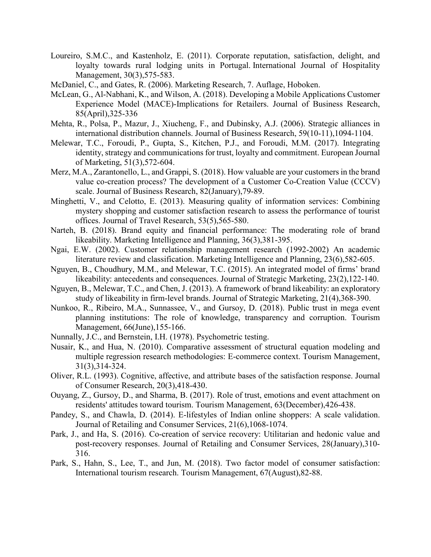- Loureiro, S.M.C., and Kastenholz, E. (2011). Corporate reputation, satisfaction, delight, and loyalty towards rural lodging units in Portugal. International Journal of Hospitality Management, 30(3),575-583.
- McDaniel, C., and Gates, R. (2006). Marketing Research, 7. Auflage, Hoboken.
- McLean, G., Al-Nabhani, K., and Wilson, A. (2018). Developing a Mobile Applications Customer Experience Model (MACE)-Implications for Retailers. Journal of Business Research, 85(April),325-336
- Mehta, R., Polsa, P., Mazur, J., Xiucheng, F., and Dubinsky, A.J. (2006). Strategic alliances in international distribution channels. Journal of Business Research, 59(10-11),1094-1104.
- Melewar, T.C., Foroudi, P., Gupta, S., Kitchen, P.J., and Foroudi, M.M. (2017). Integrating identity, strategy and communications for trust, loyalty and commitment. European Journal of Marketing, 51(3),572-604.
- Merz, M.A., Zarantonello, L., and Grappi, S. (2018). How valuable are your customers in the brand value co-creation process? The development of a Customer Co-Creation Value (CCCV) scale. Journal of Business Research, 82(January),79-89.
- Minghetti, V., and Celotto, E. (2013). Measuring quality of information services: Combining mystery shopping and customer satisfaction research to assess the performance of tourist offices. Journal of Travel Research, 53(5),565-580.
- Narteh, B. (2018). Brand equity and financial performance: The moderating role of brand likeability. Marketing Intelligence and Planning, 36(3),381-395.
- Ngai, E.W. (2002). Customer relationship management research (1992-2002) An academic literature review and classification. Marketing Intelligence and Planning, 23(6),582-605.
- Nguyen, B., Choudhury, M.M., and Melewar, T.C. (2015). An integrated model of firms' brand likeability: antecedents and consequences. Journal of Strategic Marketing, 23(2),122-140.
- Nguyen, B., Melewar, T.C., and Chen, J. (2013). A framework of brand likeability: an exploratory study of likeability in firm-level brands. Journal of Strategic Marketing, 21(4),368-390.
- Nunkoo, R., Ribeiro, M.A., Sunnassee, V., and Gursoy, D. (2018). Public trust in mega event planning institutions: The role of knowledge, transparency and corruption. Tourism Management, 66(June),155-166.
- Nunnally, J.C., and Bernstein, I.H. (1978). Psychometric testing.
- Nusair, K., and Hua, N. (2010). Comparative assessment of structural equation modeling and multiple regression research methodologies: E-commerce context. Tourism Management, 31(3),314-324.
- Oliver, R.L. (1993). Cognitive, affective, and attribute bases of the satisfaction response. Journal of Consumer Research, 20(3),418-430.
- Ouyang, Z., Gursoy, D., and Sharma, B. (2017). Role of trust, emotions and event attachment on residents' attitudes toward tourism. Tourism Management, 63(December),426-438.
- Pandey, S., and Chawla, D. (2014). E-lifestyles of Indian online shoppers: A scale validation. Journal of Retailing and Consumer Services, 21(6),1068-1074.
- Park, J., and Ha, S. (2016). Co-creation of service recovery: Utilitarian and hedonic value and post-recovery responses. Journal of Retailing and Consumer Services, 28(January),310- 316.
- Park, S., Hahn, S., Lee, T., and Jun, M. (2018). Two factor model of consumer satisfaction: International tourism research. Tourism Management, 67(August),82-88.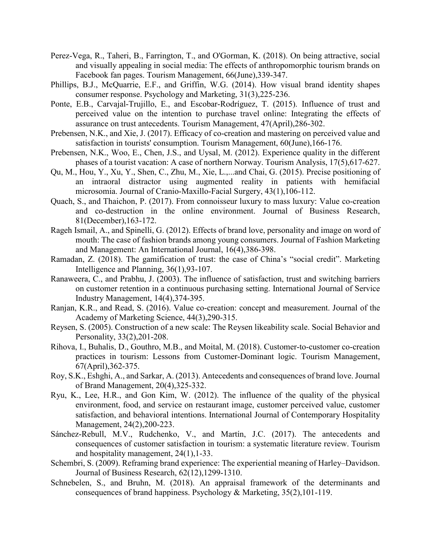- Perez-Vega, R., Taheri, B., Farrington, T., and O'Gorman, K. (2018). On being attractive, social and visually appealing in social media: The effects of anthropomorphic tourism brands on Facebook fan pages. Tourism Management, 66(June),339-347.
- Phillips, B.J., McQuarrie, E.F., and Griffin, W.G. (2014). How visual brand identity shapes consumer response. Psychology and Marketing, 31(3),225-236.
- Ponte, E.B., Carvajal-Trujillo, E., and Escobar-Rodríguez, T. (2015). Influence of trust and perceived value on the intention to purchase travel online: Integrating the effects of assurance on trust antecedents. Tourism Management, 47(April),286-302.
- Prebensen, N.K., and Xie, J. (2017). Efficacy of co-creation and mastering on perceived value and satisfaction in tourists' consumption. Tourism Management, 60(June),166-176.
- Prebensen, N.K., Woo, E., Chen, J.S., and Uysal, M. (2012). Experience quality in the different phases of a tourist vacation: A case of northern Norway. Tourism Analysis, 17(5),617-627.
- Qu, M., Hou, Y., Xu, Y., Shen, C., Zhu, M., Xie, L.,...and Chai, G. (2015). Precise positioning of an intraoral distractor using augmented reality in patients with hemifacial microsomia. Journal of Cranio-Maxillo-Facial Surgery, 43(1),106-112.
- Quach, S., and Thaichon, P. (2017). From connoisseur luxury to mass luxury: Value co-creation and co-destruction in the online environment. Journal of Business Research, 81(December),163-172.
- Rageh Ismail, A., and Spinelli, G. (2012). Effects of brand love, personality and image on word of mouth: The case of fashion brands among young consumers. Journal of Fashion Marketing and Management: An International Journal, 16(4),386-398.
- Ramadan, Z. (2018). The gamification of trust: the case of China's "social credit". Marketing Intelligence and Planning, 36(1),93-107.
- Ranaweera, C., and Prabhu, J. (2003). The influence of satisfaction, trust and switching barriers on customer retention in a continuous purchasing setting. International Journal of Service Industry Management, 14(4),374-395.
- Ranjan, K.R., and Read, S. (2016). Value co-creation: concept and measurement. Journal of the Academy of Marketing Science, 44(3),290-315.
- Reysen, S. (2005). Construction of a new scale: The Reysen likeability scale. Social Behavior and Personality, 33(2),201-208.
- Rihova, I., Buhalis, D., Gouthro, M.B., and Moital, M. (2018). Customer-to-customer co-creation practices in tourism: Lessons from Customer-Dominant logic. Tourism Management, 67(April),362-375.
- Roy, S.K., Eshghi, A., and Sarkar, A. (2013). Antecedents and consequences of brand love. Journal of Brand Management, 20(4),325-332.
- Ryu, K., Lee, H.R., and Gon Kim, W. (2012). The influence of the quality of the physical environment, food, and service on restaurant image, customer perceived value, customer satisfaction, and behavioral intentions. International Journal of Contemporary Hospitality Management, 24(2),200-223.
- Sánchez-Rebull, M.V., Rudchenko, V., and Martín, J.C. (2017). The antecedents and consequences of customer satisfaction in tourism: a systematic literature review. Tourism and hospitality management, 24(1),1-33.
- Schembri, S. (2009). Reframing brand experience: The experiential meaning of Harley–Davidson. Journal of Business Research, 62(12),1299-1310.
- Schnebelen, S., and Bruhn, M. (2018). An appraisal framework of the determinants and consequences of brand happiness. Psychology & Marketing, 35(2),101-119.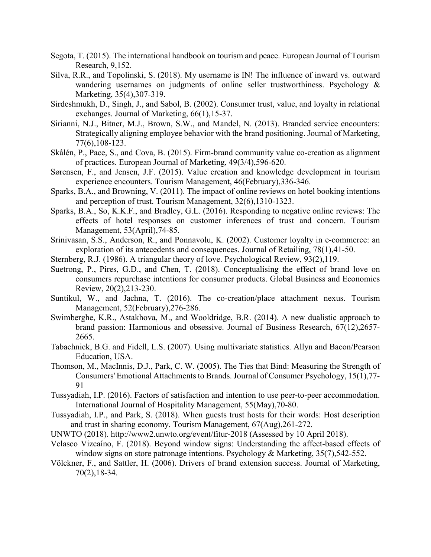- Segota, T. (2015). The international handbook on tourism and peace. European Journal of Tourism Research, 9,152.
- Silva, R.R., and Topolinski, S. (2018). My username is IN! The influence of inward vs. outward wandering usernames on judgments of online seller trustworthiness. Psychology & Marketing, 35(4),307-319.
- Sirdeshmukh, D., Singh, J., and Sabol, B. (2002). Consumer trust, value, and loyalty in relational exchanges. Journal of Marketing, 66(1),15-37.
- Sirianni, N.J., Bitner, M.J., Brown, S.W., and Mandel, N. (2013). Branded service encounters: Strategically aligning employee behavior with the brand positioning. Journal of Marketing, 77(6),108-123.
- Skålén, P., Pace, S., and Cova, B. (2015). Firm-brand community value co-creation as alignment of practices. European Journal of Marketing, 49(3/4),596-620.
- Sørensen, F., and Jensen, J.F. (2015). Value creation and knowledge development in tourism experience encounters. Tourism Management, 46(February),336-346.
- Sparks, B.A., and Browning, V. (2011). The impact of online reviews on hotel booking intentions and perception of trust. Tourism Management, 32(6),1310-1323.
- Sparks, B.A., So, K.K.F., and Bradley, G.L. (2016). Responding to negative online reviews: The effects of hotel responses on customer inferences of trust and concern. Tourism Management, 53(April),74-85.
- Srinivasan, S.S., Anderson, R., and Ponnavolu, K. (2002). Customer loyalty in e-commerce: an exploration of its antecedents and consequences. Journal of Retailing, 78(1),41-50.
- Sternberg, R.J. (1986). A triangular theory of love. Psychological Review, 93(2),119.
- Suetrong, P., Pires, G.D., and Chen, T. (2018). Conceptualising the effect of brand love on consumers repurchase intentions for consumer products. Global Business and Economics Review, 20(2),213-230.
- Suntikul, W., and Jachna, T. (2016). The co-creation/place attachment nexus. Tourism Management, 52(February),276-286.
- Swimberghe, K.R., Astakhova, M., and Wooldridge, B.R. (2014). A new dualistic approach to brand passion: Harmonious and obsessive. Journal of Business Research, 67(12),2657- 2665.
- Tabachnick, B.G. and Fidell, L.S. (2007). Using multivariate statistics. Allyn and Bacon/Pearson Education, USA.
- Thomson, M., MacInnis, D.J., Park, C. W. (2005). The Ties that Bind: Measuring the Strength of Consumers' Emotional Attachments to Brands. Journal of Consumer Psychology, 15(1),77- 91
- Tussyadiah, I.P. (2016). Factors of satisfaction and intention to use peer-to-peer accommodation. International Journal of Hospitality Management, 55(May),70-80.
- Tussyadiah, I.P., and Park, S. (2018). When guests trust hosts for their words: Host description and trust in sharing economy. Tourism Management, 67(Aug),261-272.
- UNWTO (2018). http://www2.unwto.org/event/fitur-2018 (Assessed by 10 April 2018).
- Velasco Vizcaíno, F. (2018). Beyond window signs: Understanding the affect-based effects of window signs on store patronage intentions. Psychology & Marketing, 35(7), 542-552.
- Völckner, F., and Sattler, H. (2006). Drivers of brand extension success. Journal of Marketing, 70(2),18-34.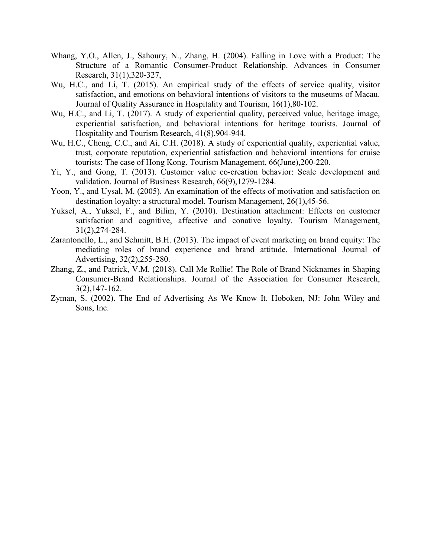- Whang, Y.O., Allen, J., Sahoury, N., Zhang, H. (2004). Falling in Love with a Product: The Structure of a Romantic Consumer-Product Relationship. Advances in Consumer Research, 31(1),320-327,
- Wu, H.C., and Li, T. (2015). An empirical study of the effects of service quality, visitor satisfaction, and emotions on behavioral intentions of visitors to the museums of Macau. Journal of Quality Assurance in Hospitality and Tourism, 16(1),80-102.
- Wu, H.C., and Li, T. (2017). A study of experiential quality, perceived value, heritage image, experiential satisfaction, and behavioral intentions for heritage tourists. Journal of Hospitality and Tourism Research, 41(8),904-944.
- Wu, H.C., Cheng, C.C., and Ai, C.H. (2018). A study of experiential quality, experiential value, trust, corporate reputation, experiential satisfaction and behavioral intentions for cruise tourists: The case of Hong Kong. Tourism Management, 66(June),200-220.
- Yi, Y., and Gong, T. (2013). Customer value co-creation behavior: Scale development and validation. Journal of Business Research, 66(9),1279-1284.
- Yoon, Y., and Uysal, M. (2005). An examination of the effects of motivation and satisfaction on destination loyalty: a structural model. Tourism Management, 26(1),45-56.
- Yuksel, A., Yuksel, F., and Bilim, Y. (2010). Destination attachment: Effects on customer satisfaction and cognitive, affective and conative loyalty. Tourism Management, 31(2),274-284.
- Zarantonello, L., and Schmitt, B.H. (2013). The impact of event marketing on brand equity: The mediating roles of brand experience and brand attitude. International Journal of Advertising, 32(2),255-280.
- Zhang, Z., and Patrick, V.M. (2018). Call Me Rollie! The Role of Brand Nicknames in Shaping Consumer-Brand Relationships. Journal of the Association for Consumer Research, 3(2),147-162.
- Zyman, S. (2002). The End of Advertising As We Know It. Hoboken, NJ: John Wiley and Sons, Inc.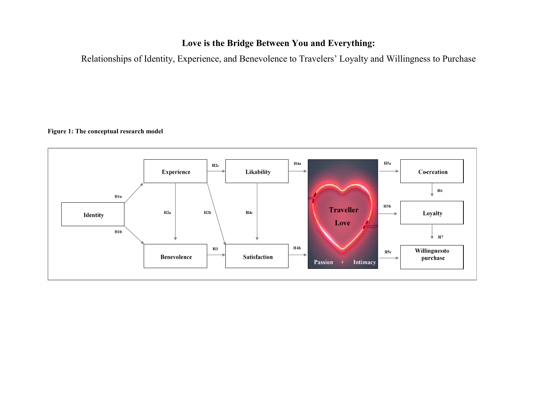# **Love is the Bridge Between You and Everything:**

Relationships of Identity, Experience, and Benevolence to Travelers' Loyalty and Willingness to Purchase

# **Figure 1: The conceptual research model**

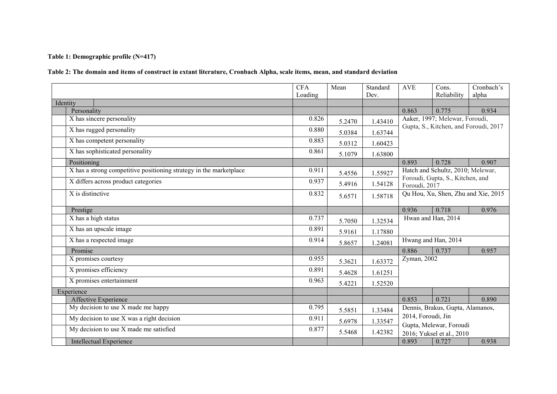# **Table 1: Demographic profile (N=417)**

**Table 2: The domain and items of construct in extant literature, Cronbach Alpha, scale items, mean, and standard deviation**

|                                                                    | <b>CFA</b><br>Loading | Mean   | Standard<br>Dev. | <b>AVE</b>                                           | Cons.<br>Reliability                                                    | Cronbach's<br>alpha |  |
|--------------------------------------------------------------------|-----------------------|--------|------------------|------------------------------------------------------|-------------------------------------------------------------------------|---------------------|--|
| Identity                                                           |                       |        |                  |                                                      |                                                                         |                     |  |
| Personality                                                        |                       |        |                  | 0.863                                                | 0.775                                                                   | 0.934               |  |
| X has sincere personality                                          | 0.826                 | 5.2470 | 1.43410          |                                                      | Aaker, 1997; Melewar, Foroudi,<br>Gupta, S., Kitchen, and Foroudi, 2017 |                     |  |
| X has rugged personality                                           | 0.880                 | 5.0384 | 1.63744          |                                                      |                                                                         |                     |  |
| X has competent personality                                        | 0.883                 | 5.0312 | 1.60423          |                                                      |                                                                         |                     |  |
| X has sophisticated personality                                    | 0.861                 | 5.1079 | 1.63800          |                                                      |                                                                         |                     |  |
| Positioning                                                        |                       |        |                  | 0.893                                                | 0.728                                                                   | 0.907               |  |
| X has a strong competitive positioning strategy in the marketplace | 0.911                 | 5.4556 | 1.55927          |                                                      | Hatch and Schultz, 2010; Melewar,                                       |                     |  |
| X differs across product categories                                | 0.937                 | 5.4916 | 1.54128          | Foroudi, 2017                                        | Foroudi, Gupta, S., Kitchen, and                                        |                     |  |
| X is distinctive                                                   | 0.832                 | 5.6571 | 1.58718          |                                                      | Qu Hou, Xu, Shen, Zhu and Xie, 2015                                     |                     |  |
| Prestige                                                           |                       |        |                  | 0.936                                                | 0.718                                                                   | 0.976               |  |
| X has a high status                                                | 0.737                 | 5.7050 | 1.32534          |                                                      | Hwan and Han, 2014                                                      |                     |  |
| X has an upscale image                                             | 0.891                 | 5.9161 | 1.17880          |                                                      |                                                                         |                     |  |
| X has a respected image                                            | 0.914                 | 5.8657 | 1.24081          |                                                      | Hwang and Han, 2014                                                     |                     |  |
| Promise                                                            |                       |        |                  | 0.886                                                | 0.737                                                                   | 0.957               |  |
| X promises courtesy                                                | 0.955                 | 5.3621 | 1.63372          | Zyman, $2002$                                        |                                                                         |                     |  |
| X promises efficiency                                              | 0.891                 | 5.4628 | 1.61251          |                                                      |                                                                         |                     |  |
| X promises entertainment                                           | 0.963                 | 5.4221 | 1.52520          |                                                      |                                                                         |                     |  |
| Experience                                                         |                       |        |                  |                                                      |                                                                         |                     |  |
| Affective Experience                                               |                       |        |                  | 0.853                                                | 0.721                                                                   | 0.890               |  |
| My decision to use X made me happy                                 | 0.795                 | 5.5851 | 1.33484          | Dennis, Brakus, Gupta, Alamanos,                     |                                                                         |                     |  |
| My decision to use X was a right decision                          | 0.911                 | 5.6978 | 1.33547          | 2014, Foroudi, Jin                                   |                                                                         |                     |  |
| My decision to use X made me satisfied                             | 0.877                 | 5.5468 | 1.42382          | Gupta, Melewar, Foroudi<br>2016; Yuksel et al., 2010 |                                                                         |                     |  |
| Intellectual Experience                                            |                       |        |                  | 0.893                                                | 0.727                                                                   | 0.938               |  |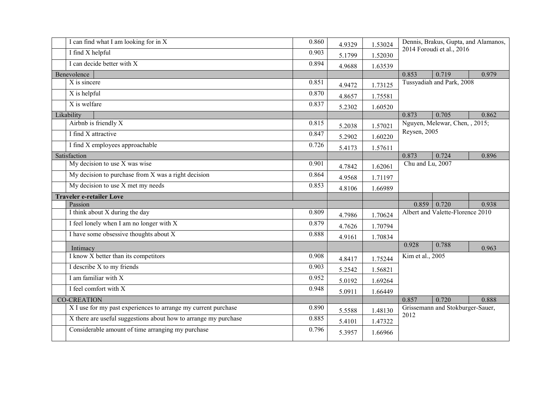| I can find what I am looking for in X                           | 0.860 | 4.9329 | 1.53024 |                  |                                  | Dennis, Brakus, Gupta, and Alamanos, |
|-----------------------------------------------------------------|-------|--------|---------|------------------|----------------------------------|--------------------------------------|
| I find X helpful                                                | 0.903 | 5.1799 | 1.52030 |                  | 2014 Foroudi et al., 2016        |                                      |
| I can decide better with X                                      | 0.894 | 4.9688 | 1.63539 |                  |                                  |                                      |
| Benevolence                                                     |       |        |         | 0.853            | 0.719                            | 0.979                                |
| X is sincere                                                    | 0.851 | 4.9472 | 1.73125 |                  | Tussyadiah and Park, 2008        |                                      |
| X is helpful                                                    | 0.870 | 4.8657 | 1.75581 |                  |                                  |                                      |
| X is welfare                                                    | 0.837 | 5.2302 | 1.60520 |                  |                                  |                                      |
| Likability                                                      |       |        |         | 0.873            | 0.705                            | 0.862                                |
| Airbnb is friendly $X$                                          | 0.815 | 5.2038 | 1.57021 |                  | Nguyen, Melewar, Chen, , 2015;   |                                      |
| I find X attractive                                             | 0.847 | 5.2902 | 1.60220 | Reysen, 2005     |                                  |                                      |
| I find X employees approachable                                 | 0.726 | 5.4173 | 1.57611 |                  |                                  |                                      |
| Satisfaction                                                    |       |        |         | 0.873            | 0.724                            | 0.896                                |
| My decision to use X was wise                                   | 0.901 | 4.7842 | 1.62061 | Chu and Lu, 2007 |                                  |                                      |
| My decision to purchase from $X$ was a right decision           | 0.864 | 4.9568 | 1.71197 |                  |                                  |                                      |
| My decision to use X met my needs                               | 0.853 | 4.8106 | 1.66989 |                  |                                  |                                      |
| <b>Traveler e-retailer Love</b>                                 |       |        |         |                  |                                  |                                      |
| Passion                                                         |       |        |         | 0.859            | 0.720                            | 0.938                                |
| I think about X during the day                                  | 0.809 | 4.7986 | 1.70624 |                  | Albert and Valette-Florence 2010 |                                      |
| I feel lonely when I am no longer with X                        | 0.879 | 4.7626 | 1.70794 |                  |                                  |                                      |
| I have some obsessive thoughts about X                          | 0.888 | 4.9161 | 1.70834 |                  |                                  |                                      |
| Intimacy                                                        |       |        |         | 0.928            | 0.788                            | 0.963                                |
| I know X better than its competitors                            | 0.908 | 4.8417 | 1.75244 | Kim et al., 2005 |                                  |                                      |
| I describe X to my friends                                      | 0.903 | 5.2542 | 1.56821 |                  |                                  |                                      |
| I am familiar with $X$                                          | 0.952 | 5.0192 | 1.69264 |                  |                                  |                                      |
| I feel comfort with X                                           | 0.948 | 5.0911 | 1.66449 |                  |                                  |                                      |
| <b>CO-CREATION</b>                                              |       |        |         | 0.857            | 0.720                            | 0.888                                |
| X I use for my past experiences to arrange my current purchase  | 0.890 | 5.5588 | 1.48130 |                  | Grissemann and Stokburger-Sauer, |                                      |
| X there are useful suggestions about how to arrange my purchase | 0.885 | 5.4101 | 1.47322 | 2012             |                                  |                                      |
| Considerable amount of time arranging my purchase               | 0.796 | 5.3957 | 1.66966 |                  |                                  |                                      |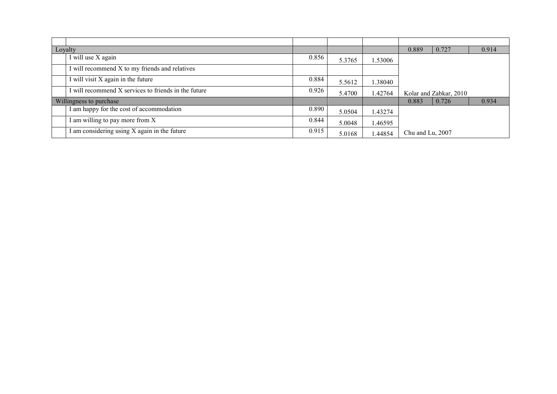| Loyalty |                                                      |       |        |        | 0.889                  | 0.727 | 0.914 |  |  |
|---------|------------------------------------------------------|-------|--------|--------|------------------------|-------|-------|--|--|
|         | I will use X again                                   | 0.856 | 5.3765 | .53006 |                        |       |       |  |  |
|         | I will recommend X to my friends and relatives       |       |        |        |                        |       |       |  |  |
|         | I will visit X again in the future                   | 0.884 | 5.5612 | .38040 |                        |       |       |  |  |
|         | I will recommend X services to friends in the future | 0.926 | 5.4700 | .42764 | Kolar and Zabkar, 2010 |       |       |  |  |
|         | Willingness to purchase                              |       |        |        | 0.883                  | 0.726 | 0.934 |  |  |
|         | I am happy for the cost of accommodation             | 0.890 | 5.0504 | .43274 |                        |       |       |  |  |
|         | I am willing to pay more from X                      | 0.844 | 5.0048 | .46595 |                        |       |       |  |  |
|         | am considering using X again in the future           | 0.915 | 5.0168 | .44854 | Chu and Lu, 2007       |       |       |  |  |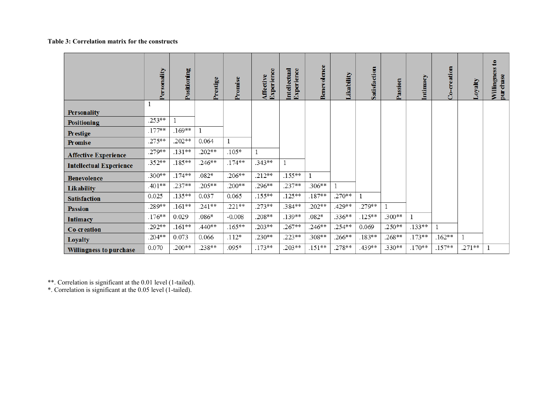#### **Table 3: Correlation matrix for the constructs**

|                                | Personality | Positioning | Prestige | Promise  | Experience<br>Affective | Experience<br><b>Intellectual</b> | Benevolence | Likability | Satisfaction | Passion  | Intimacy | creation<br>පි | Loyalty  | Willingness to<br>purchase |
|--------------------------------|-------------|-------------|----------|----------|-------------------------|-----------------------------------|-------------|------------|--------------|----------|----------|----------------|----------|----------------------------|
|                                | 1           |             |          |          |                         |                                   |             |            |              |          |          |                |          |                            |
| <b>Personality</b>             |             |             |          |          |                         |                                   |             |            |              |          |          |                |          |                            |
| <b>Positioning</b>             | $.253**$    |             |          |          |                         |                                   |             |            |              |          |          |                |          |                            |
| <b>Prestige</b>                | $.177**$    | $.169**$    |          |          |                         |                                   |             |            |              |          |          |                |          |                            |
| <b>Promise</b>                 | $.275**$    | $.202**$    | 0.064    | 1        |                         |                                   |             |            |              |          |          |                |          |                            |
| <b>Affective Experience</b>    | .279**      | $.131**$    | $.202**$ | $.105*$  | 1                       |                                   |             |            |              |          |          |                |          |                            |
| <b>Intellectual Experience</b> | $.352**$    | $.185**$    | $.246**$ | $.174**$ | $.343**$                | $\mathbf{1}$                      |             |            |              |          |          |                |          |                            |
| <b>Benevolence</b>             | $.300**$    | $.174**$    | $.082*$  | $.206**$ | $.212**$                | $.155**$                          | 1           |            |              |          |          |                |          |                            |
| Likability                     | $.401**$    | .237**      | .205**   | $.200**$ | .296**                  | .237**                            | $.306**$    |            |              |          |          |                |          |                            |
| <b>Satisfaction</b>            | 0.025       | $.135**$    | 0.037    | 0.065    | $.155**$                | $.125**$                          | $.187**$    | $.270**$   |              |          |          |                |          |                            |
| <b>Passion</b>                 | .289**      | $.161**$    | $.241**$ | $.221**$ | $.273**$                | .384**                            | $.202**$    | .429**     | .279**       |          |          |                |          |                            |
| <b>Intimacy</b>                | $.176**$    | 0.029       | $.086*$  | $-0.008$ | .208**                  | .139**                            | $.082*$     | $.336**$   | $.125**$     | .300**   | 1        |                |          |                            |
| Co-creation                    | .292**      | $.161**$    | .440**   | $.165**$ | .203**                  | $.267**$                          | $.246**$    | .254**     | 0.069        | $.250**$ | $.133**$ |                |          |                            |
| <b>Loyalty</b>                 | $.204**$    | 0.073       | 0.066    | $.112*$  | $.230**$                | .223**                            | .308**      | .266**     | $.183**$     | .268**   | $.173**$ | $.162**$       |          |                            |
| Willingness to purchase        | 0.070       | .200**      | .238**   | .095*    | $.173**$                | $.203**$                          | $.151**$    | .278**     | .439**       | .330**   | $.170**$ | $.157**$       | $.271**$ |                            |

\*\*. Correlation is significant at the 0.01 level (1-tailed).

\*. Correlation is significant at the 0.05 level (1-tailed).